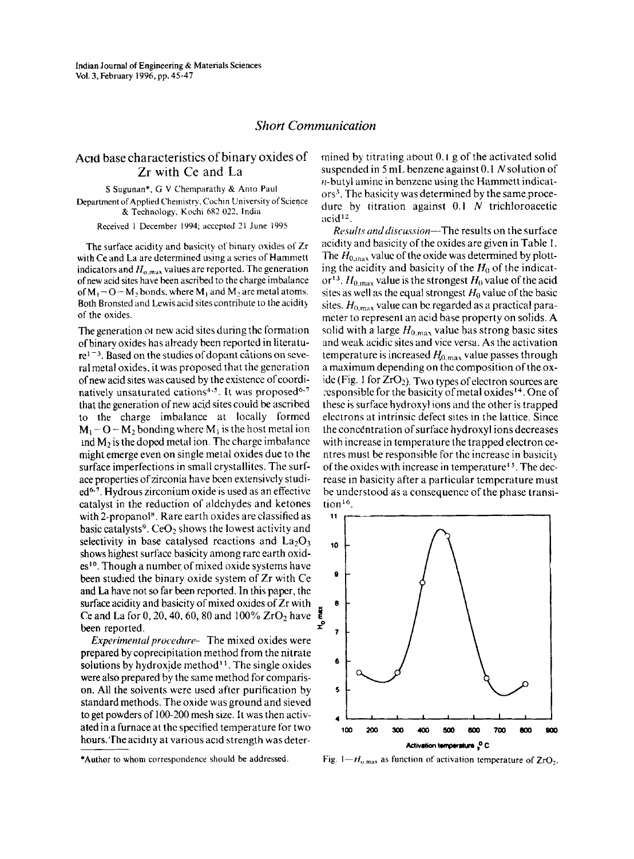## *Short Communication*

## Acid base characteristics of binary oxides of Zr with Ce and La

S Sugunan", G V Chernparathy & Anto Paul Department of Applied Chemistry, Cochin University of Science & Technology, Kochi 6R2 022. India

Received I December 1994; accepted 21 June 1995

The surface acidity and basicity of hinary oxides of Zr with Ce and La are determined using a series of Hammett indicators and  $H_{o,\text{max}}$  values are reported. The generation of newacid sites have been ascribed to the charge imbalance of  $M_1$  – O – M<sub>2</sub>, bonds, where  $M_1$  and  $M_2$  are metal atoms. Both Bronsted and Lewis acid sites contribute to the acidity of the oxides.

The generation 01 new acid sites during the formation of binary oxides has already been reported in literatu $re^{1-3}$ . Based on the studies of dopant cations on several metal oxides. it was proposed that the generation of new acid sites was caused by the existence of coordinatively unsaturated cations<sup>4,5</sup>. It was proposed<sup>6,7</sup> that the generation of new acid sites could be ascribed to the charge imbalance at locally formed  $M_1$  – O – M<sub>2</sub> bonding where M<sub>4</sub> is the host metal ion  $\mu$ md M<sub>2</sub> is the doped metal ion. The charge imbalance might emerge even on single metal oxides due to the surface imperfections in small crystallites. The surface properties of zirconia have been extensively studi $ed^{6.7}$ . Hydrous zirconium oxide is used as an effective catalyst in the reduction of aldehydes and ketones with 2-propanol<sup>8</sup>. Rare earth oxides are classified as basic catalysts<sup>9</sup>. CeO<sub>2</sub> shows the lowest activity and selectivity in base catalysed reactions and  $La_2O_3$ shows highest surface basicity among rare earth oxid $es<sup>10</sup>$ . Though a number of mixed oxide systems have been studied the binary oxide system of Zr with Ce and La have not so far been reported. In this paper, the surface acidity and basicity of mixed oxides of Zr with Ce and La for 0, 20, 40, 60, 80 and 100% ZrO<sub>2</sub> have  $\begin{bmatrix} 5 \\ 2 \end{bmatrix}$ 

*Experimental procedure-* The mixed oxides were prepared bycoprecipitation method from the nitrate solutions by hydroxide method<sup>11</sup>. The single oxides were also prepared by the same method for comparison. All the solvents were used after purification by standard methods. The oxide was ground and sieved to get powders of 100-200 mesh size. It was then activated in a furnace at the specified temperature for two hours. 'The acidity at various acid strength was deter-

*Results and discussion-i-Yuc* results on the surface acidity and basicity of the oxides are given in Table 1. The  $H_{0,\text{max}}$  value of the oxide was determined by plotting the acidity and basicity of the  $H_0$  of the indicator<sup>13</sup>.  $H_{0, \text{max}}$  value is the strongest  $H_0$  value of the acid sites as well as the equal strongest  $H_0$  value of the basic sites.  $H_{0\text{ max}}$  value can be regarded as a practical parameter to represent an acid base property on solids. A solid with a large  $H_{0,\text{max}}$  value has strong basic sites and weak acidic sites and vice versa. As the activation temperature is increased  $H_{0,\text{max}}$  value passes through a maximum depending on the composition of the oxide (Fig. 1 for  $ZrO<sub>2</sub>$ ). Two types of electron sources are responsible for the basicity of metal oxides<sup>14</sup>. One of these issurface hydroxyl ions and the other is trapped electrons at intrinsic defect sites in the lattice. Since the concentration of surface hydroxyl ions decreases with increase in temperature the trapped electron centres must be responsible for the increase in basicity of the oxides with increase in temperature<sup>15</sup>. The decrease in basicity after a particular temperature must be understood as a consequence of the phase transition<sup>16</sup>.



Fig.  $1-H_{\text{o,max}}$  as function of activation temperature of ZrO<sub>2</sub>.

mined by titrating about  $0.1$  g of the activated solid suspended in 5mL benzene against 0.1 *N* solution of  $n$ -butyl amine in benzene using the Hammett indicators'. The basicity was determined by the same.procedurc by titration against 0.1 N trichloroacetic  $acid<sup>12</sup>$ .

<sup>\*</sup>Author to whom correspondence should be addressed.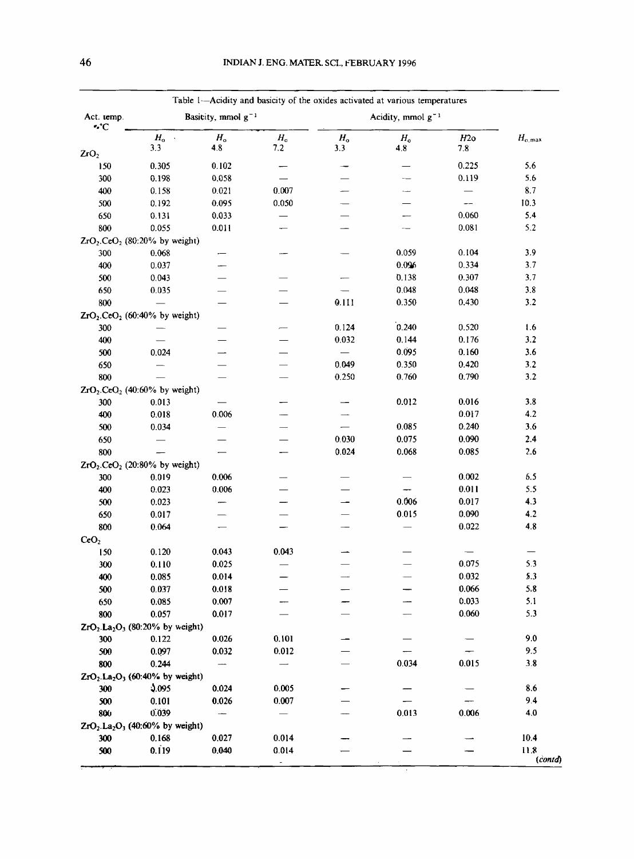| Act. temp.       | Basicity, mmol $g^{-1}$                      |                    |                         | Acidity, mmol $g^{-1}$ |                    |            |                 |
|------------------|----------------------------------------------|--------------------|-------------------------|------------------------|--------------------|------------|-----------------|
| ۰°C              | $H_{\rm o}$ .<br>3.3                         | $H_{\rm o}$<br>4.8 | $H_{\rm o}$<br>7.2      | $H_{\rm o}$<br>3.3     | $H_{\rm o}$<br>4.8 | H2o<br>7.8 | $H_{\rm o,max}$ |
| 2rO <sub>2</sub> |                                              |                    |                         |                        |                    |            |                 |
| 150              | 0.305                                        | 0.102              | --                      |                        |                    | 0.225      | 5.6             |
| 300              | 0.198                                        | 0.058              |                         |                        |                    | 0.119      | 5.6             |
| 400              | 0.158                                        | 0.021              | 0.007                   |                        |                    |            | 8.7             |
| 500              | 0.192                                        | 0.095              | 0.050                   |                        |                    |            | 10.3            |
| 650              | 0.131                                        | 0.033              |                         |                        |                    | 0.060      | 5.4             |
| 800              | 0.055                                        | 0.011              |                         |                        |                    | 0.081      | 5.2             |
|                  | $ZrO_2$ .CeO <sub>2</sub> (80:20% by weight) |                    |                         |                        |                    |            |                 |
| 300              | 0.068                                        |                    |                         |                        | 0.059              | 0.104      | 3.9             |
| 400              | 0.037                                        |                    |                         |                        | 0.096              | 0.334      | 3.7             |
| 500              | 0.043                                        |                    |                         |                        | 0.138              | 0.307      | 3.7             |
| 650              | 0.035                                        |                    |                         |                        | 0.048              | 0.048      | 3.8             |
| 800              |                                              |                    |                         | 0.111                  | 0.350              | 0.430      | 3.2             |
|                  | $ZrO_2$ .CeO <sub>2</sub> (60:40% by weight) |                    |                         |                        |                    |            |                 |
| 300              |                                              |                    |                         | 0.124                  | 0.240              | 0.520      | 1.6             |
| 400              |                                              |                    |                         | 0.032                  | 0.144              | 0.176      | 3.2             |
| 500              | 0.024                                        |                    |                         |                        | 0.095              | 0.160      | 3.6             |
| 650              |                                              |                    |                         | 0.049                  | 0.350              | 0.420      | 3.2             |
| 800              |                                              |                    |                         | 0.250                  | 0.760              | 0.790      | 3.2             |
|                  | $ZrO_2$ .CeO <sub>2</sub> (40:60% by weight) |                    |                         |                        |                    |            |                 |
| 300              | 0.013                                        |                    |                         |                        | 0.012              | 0.016      | 3.8             |
| 400              | 0.018                                        | 0.006              |                         |                        |                    | 0.017      | 4.2             |
| 500              | 0.034                                        |                    |                         |                        | 0.085              | 0.240      | 3.6             |
| 650              |                                              |                    |                         | 0.030                  | 0.075              | 0.090      | 2.4             |
| 800              |                                              |                    |                         | 0.024                  | 0.068              | 0.085      | 2.6             |
|                  | $ZrO_2$ .CeO <sub>2</sub> (20:80% by weight) |                    |                         |                        |                    |            |                 |
| 300              | 0.019                                        | 0.006              |                         |                        |                    | 0.002      | 6.5             |
| 400              | 0.023                                        | 0.006              |                         |                        |                    | 0.011      | 5.5             |
| 500              | 0.023                                        |                    |                         |                        | 0.006              | 0.017      | 4.3             |
| 650              | 0.017                                        |                    |                         |                        | 0.015              | 0.090      | 4.2             |
| 800              | 0.064                                        |                    |                         |                        |                    | 0.022      | 4.8             |
| CeO <sub>2</sub> |                                              |                    |                         |                        |                    |            |                 |
| 150              | 0.120                                        | 0.043              | 0.043                   |                        |                    |            |                 |
| 300              | 0.110                                        | 0.025              |                         |                        |                    | 0.075      | 5.3             |
| 400              | 0.085                                        | 0.014              |                         |                        |                    | 0.032      | 5.3             |
| 500              | 0.037                                        | 0.018              |                         |                        |                    | 0.066      | 5,8             |
| 650              | 0.085                                        | 0.007              |                         |                        |                    | 0.033      | 5.1             |
| 800              | 0.057                                        | 0.017              |                         |                        |                    | 0.060      | 5.3             |
|                  | $ZrO_2.La_2O_3$ (80:20% by weight)           |                    |                         |                        |                    |            |                 |
| 300              | 0.122                                        | 0.026              | 0.101                   |                        |                    |            | 9.0             |
| 500              | 0.097                                        | 0.032              | 0.012                   |                        |                    |            | 9.5             |
| 800              | 0.244                                        |                    |                         |                        | 0.034              | 0.015      | 3.8             |
|                  | $ZrO_2.La_2O_3$ (60:40% by weight)           |                    |                         |                        |                    |            |                 |
| 300              | 3.095                                        | 0.024              | 0.005                   |                        |                    |            | 8.6             |
| 500              | 0.101                                        | 0.026              | 0.007                   |                        |                    |            | 9.4             |
| 800              | 0.039                                        |                    |                         |                        | 0.013              | 0.006      | $4.0$           |
|                  | $ZrO_2.La_2O_3$ (40:60% by weight)           |                    |                         |                        |                    |            |                 |
| 300              | 0.168                                        | 0.027              | 0.014                   |                        |                    |            | 10.4            |
|                  |                                              |                    |                         |                        |                    |            | 11.8            |
| 500              | 0.119                                        | 0.040              | 0.014<br>$\blacksquare$ |                        |                    |            |                 |